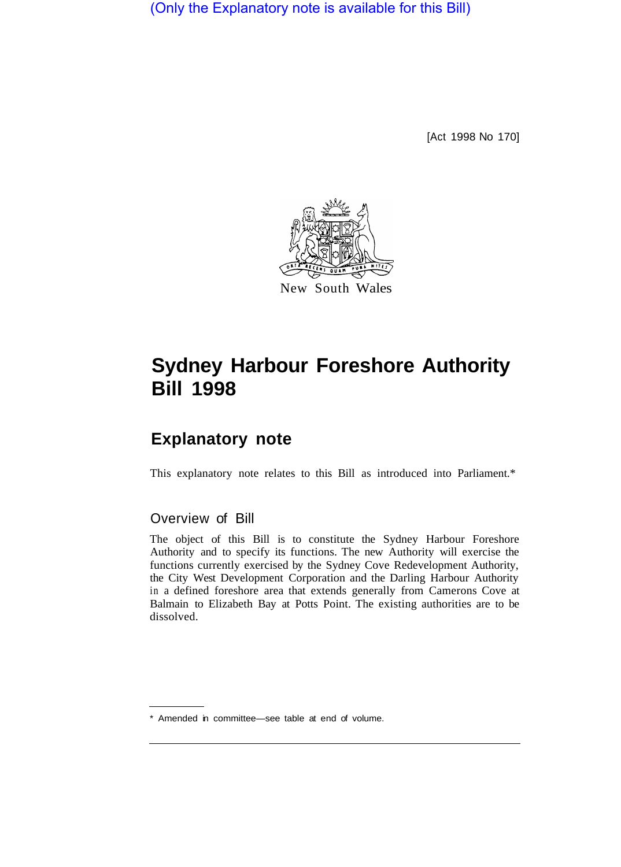(Only the Explanatory note is available for this Bill)

[Act 1998 No 170]



# **Sydney Harbour Foreshore Authority Bill 1998**

# **Explanatory note**

This explanatory note relates to this Bill as introduced into Parliament.\*

# Overview of Bill

The object of this Bill is to constitute the Sydney Harbour Foreshore Authority and to specify its functions. The new Authority will exercise the functions currently exercised by the Sydney Cove Redevelopment Authority, the City West Development Corporation and the Darling Harbour Authority in a defined foreshore area that extends generally from Camerons Cove at Balmain to Elizabeth Bay at Potts Point. The existing authorities are to be dissolved.

\* Amended in committee—see table at end of volume.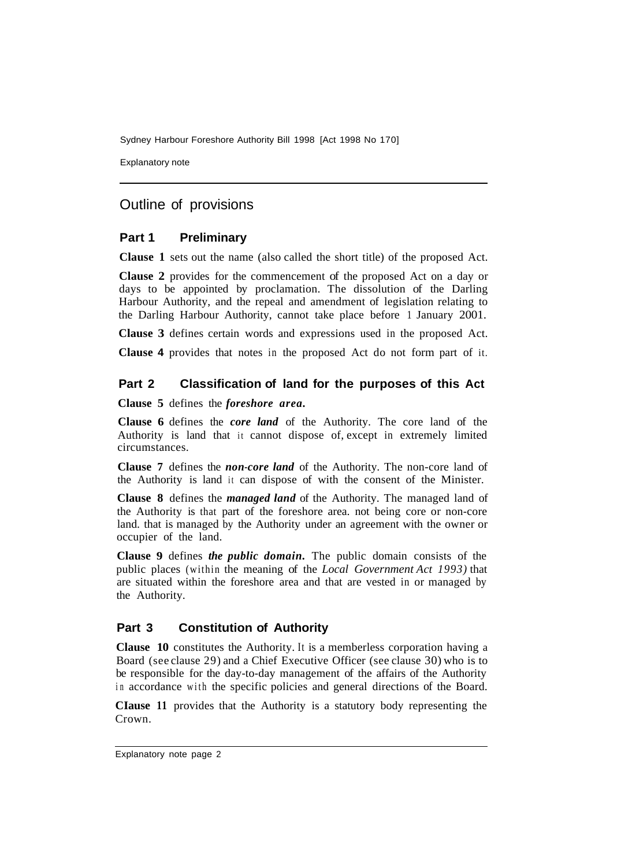Explanatory note

# Outline of provisions

#### **Part 1 Preliminary**

**Clause 1** sets out the name (also called the short title) of the proposed Act.

**Clause 2** provides for the commencement of the proposed Act on a day or days to be appointed by proclamation. The dissolution of the Darling Harbour Authority, and the repeal and amendment of legislation relating to the Darling Harbour Authority, cannot take place before 1 January 2001.

**Clause 3** defines certain words and expressions used in the proposed Act.

**Clause 4** provides that notes in the proposed Act do not form part of it.

## **Part 2 Classification of land for the purposes of this Act**

**Clause 5** defines the *foreshore area.* 

**Clause 6** defines the *core land* of the Authority. The core land of the Authority is land that it cannot dispose of, except in extremely limited circumstances.

**Clause 7** defines the *non-core land* of the Authority. The non-core land of the Authority is land it can dispose of with the consent of the Minister.

**Clause 8** defines the *managed land* of the Authority. The managed land of the Authority is that part of the foreshore area. not being core or non-core land. that is managed by the Authority under an agreement with the owner or occupier of the land.

**Clause 9** defines *the public domain.* The public domain consists of the public places (within the meaning of the *Local Government Act 1993)* that are situated within the foreshore area and that are vested in or managed by the Authority.

## **Part 3 Constitution of Authority**

**Clause 10** constitutes the Authority. It is a memberless corporation having a Board (see clause 29) and a Chief Executive Officer (see clause 30) who is to be responsible for the day-to-day management of the affairs of the Authority in accordance with the specific policies and general directions of the Board.

**CIause 11** provides that the Authority is a statutory body representing the Crown.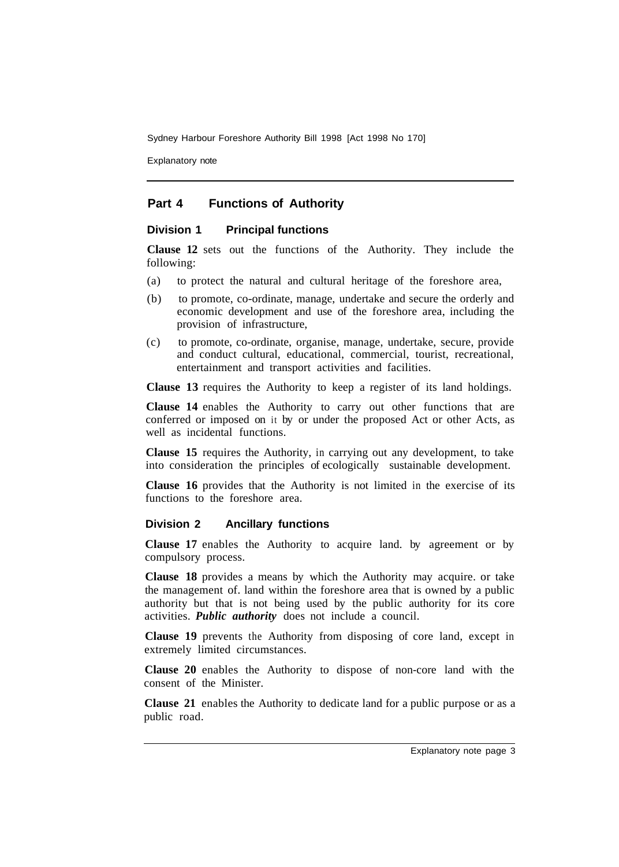Explanatory note

# **Part 4 Functions of Authority**

#### **Division 1 Principal functions**

**Clause 12** sets out the functions of the Authority. They include the following:

- (a) to protect the natural and cultural heritage of the foreshore area,
- (b) to promote, co-ordinate, manage, undertake and secure the orderly and economic development and use of the foreshore area, including the provision of infrastructure,
- (c) to promote, co-ordinate, organise, manage, undertake, secure, provide and conduct cultural, educational, commercial, tourist, recreational, entertainment and transport activities and facilities.

**Clause 13** requires the Authority to keep a register of its land holdings.

**Clause 14** enables the Authority to carry out other functions that are conferred or imposed on it by or under the proposed Act or other Acts, as well as incidental functions.

**Clause 15** requires the Authority, in carrying out any development, to take into consideration the principles of ecologically sustainable development.

**Clause 16** provides that the Authority is not limited in the exercise of its functions to the foreshore area.

#### **Division 2 Ancillary functions**

**Clause 17** enables the Authority to acquire land. by agreement or by compulsory process.

**Clause 18** provides a means by which the Authority may acquire. or take the management of. land within the foreshore area that is owned by a public authority but that is not being used by the public authority for its core activities. *Public authority* does not include a council.

**Clause 19** prevents the Authority from disposing of core land, except in extremely limited circumstances.

**Clause 20** enables the Authority to dispose of non-core land with the consent of the Minister.

**Clause 21** enables the Authority to dedicate land for a public purpose or as a public road.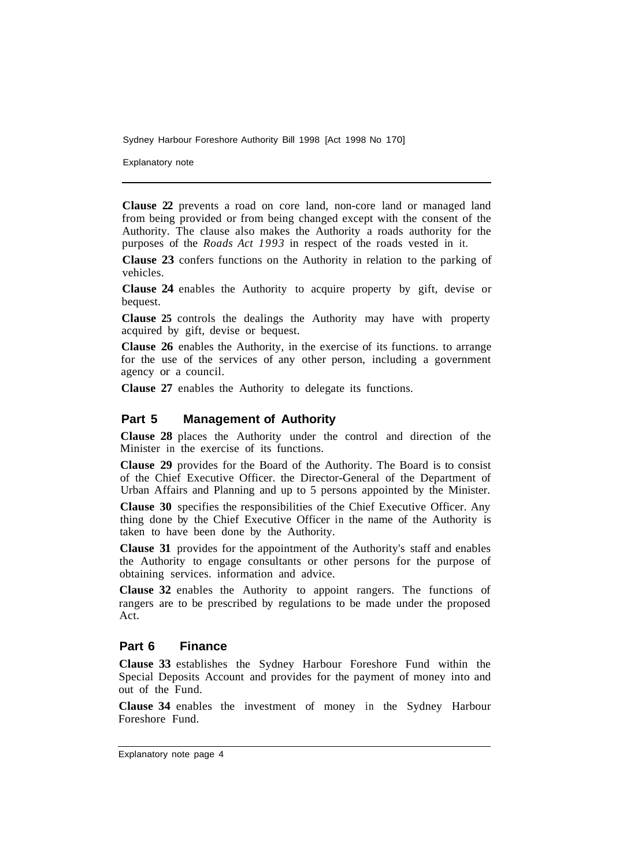Explanatory note

**Clause 22** prevents a road on core land, non-core land or managed land from being provided or from being changed except with the consent of the Authority. The clause also makes the Authority a roads authority for the purposes of the *Roads Act 1993* in respect of the roads vested in it.

**Clause 23** confers functions on the Authority in relation to the parking of vehicles.

**Clause 24** enables the Authority to acquire property by gift, devise or bequest.

**Clause 25** controls the dealings the Authority may have with property acquired by gift, devise or bequest.

**Clause 26** enables the Authority, in the exercise of its functions. to arrange for the use of the services of any other person, including a government agency or a council.

**Clause 27** enables the Authority to delegate its functions.

#### **Part 5 Management of Authority**

**Clause 28** places the Authority under the control and direction of the Minister in the exercise of its functions.

**Clause 29** provides for the Board of the Authority. The Board is to consist of the Chief Executive Officer. the Director-General of the Department of Urban Affairs and Planning and up to 5 persons appointed by the Minister.

**Clause 30** specifies the responsibilities of the Chief Executive Officer. Any thing done by the Chief Executive Officer in the name of the Authority is taken to have been done by the Authority.

**Clause 31** provides for the appointment of the Authority's staff and enables the Authority to engage consultants or other persons for the purpose of obtaining services. information and advice.

**Clause 32** enables the Authority to appoint rangers. The functions of rangers are to be prescribed by regulations to be made under the proposed Act.

#### **Part 6 Finance**

**Clause 33** establishes the Sydney Harbour Foreshore Fund within the Special Deposits Account and provides for the payment of money into and out of the Fund.

**Clause 34** enables the investment of money in the Sydney Harbour Foreshore Fund.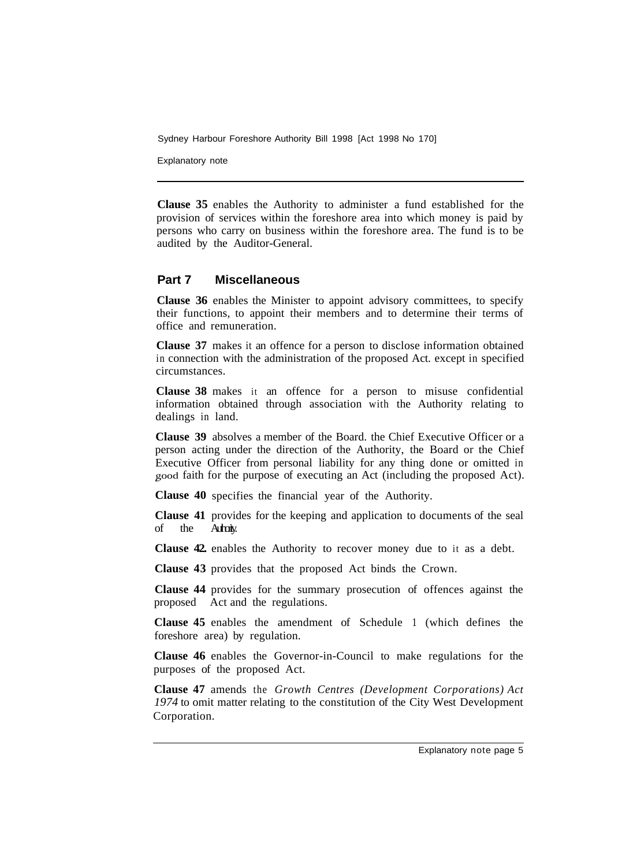Explanatory note

**Clause 35** enables the Authority to administer a fund established for the provision of services within the foreshore area into which money is paid by persons who carry on business within the foreshore area. The fund is to be audited by the Auditor-General.

#### **Part 7 Miscellaneous**

**Clause 36** enables the Minister to appoint advisory committees, to specify their functions, to appoint their members and to determine their terms of office and remuneration.

**Clause 37** makes it an offence for a person to disclose information obtained in connection with the administration of the proposed Act. except in specified circumstances.

**Clause 38** makes it an offence for a person to misuse confidential information obtained through association with the Authority relating to dealings in land.

**Clause 39** absolves a member of the Board. the Chief Executive Officer or a person acting under the direction of the Authority, the Board or the Chief Executive Officer from personal liability for any thing done or omitted in good faith for the purpose of executing an Act (including the proposed Act).

**Clause 40**  specifies the financial year of the Authority.

**Clause 41**  provides for the keeping and application to documents of the seal of the Authority.

**Clause 42.**  enables the Authority to recover money due to it as a debt.

**Clause 43**  provides that the proposed Act binds the Crown.

**Clause 44**  provides for the summary prosecution of offences against the proposed Act and the regulations.

**Clause 45**  enables the amendment of Schedule 1 (which defines the foreshore area) by regulation.

**Clause 46** enables the Governor-in-Council to make regulations for the purposes of the proposed Act.

**Clause 47** amends the *Growth Centres (Development Corporations) Act 1974* to omit matter relating to the constitution of the City West Development Corporation.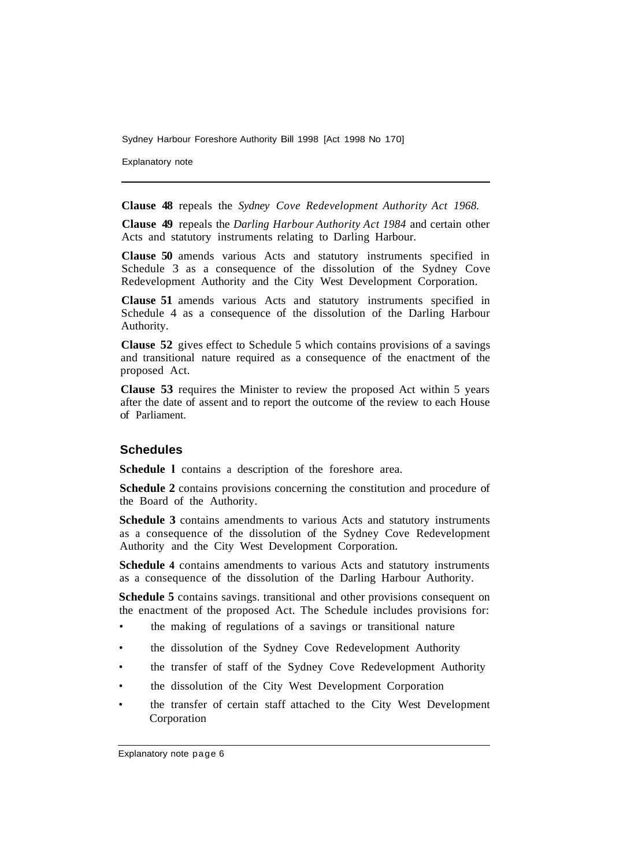Explanatory note

**Clause 48** repeals the *Sydney Cove Redevelopment Authority Act 1968.* 

**Clause 49** repeals the *Darling Harbour Authority Act 1984* and certain other Acts and statutory instruments relating to Darling Harbour.

**Clause 50** amends various Acts and statutory instruments specified in Schedule 3 as a consequence of the dissolution of the Sydney Cove Redevelopment Authority and the City West Development Corporation.

**Clause 51** amends various Acts and statutory instruments specified in Schedule 4 as a consequence of the dissolution of the Darling Harbour Authority.

**Clause 52** gives effect to Schedule 5 which contains provisions of a savings and transitional nature required as a consequence of the enactment of the proposed Act.

**Clause 53** requires the Minister to review the proposed Act within 5 years after the date of assent and to report the outcome of the review to each House of Parliament.

# **Schedules**

**Schedule l** contains a description of the foreshore area.

**Schedule 2** contains provisions concerning the constitution and procedure of the Board of the Authority.

**Schedule 3** contains amendments to various Acts and statutory instruments as a consequence of the dissolution of the Sydney Cove Redevelopment Authority and the City West Development Corporation.

**Schedule 4** contains amendments to various Acts and statutory instruments as a consequence of the dissolution of the Darling Harbour Authority.

**Schedule 5** contains savings. transitional and other provisions consequent on the enactment of the proposed Act. The Schedule includes provisions for:

- the making of regulations of a savings or transitional nature
- the dissolution of the Sydney Cove Redevelopment Authority
- the transfer of staff of the Sydney Cove Redevelopment Authority
- the dissolution of the City West Development Corporation
- the transfer of certain staff attached to the City West Development Corporation